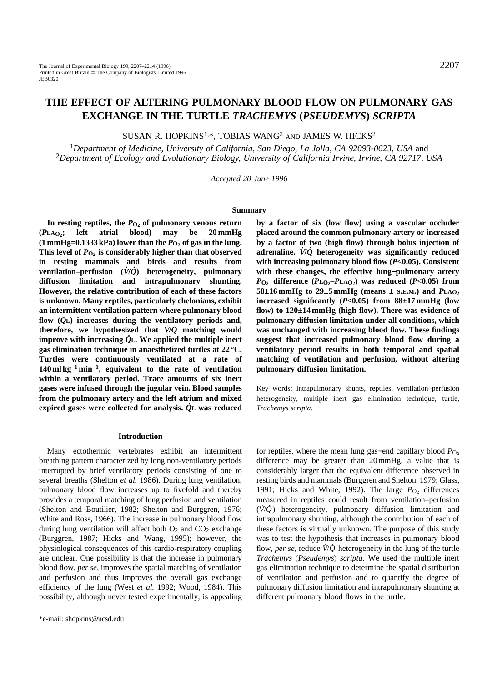# **THE EFFECT OF ALTERING PULMONARY BLOOD FLOW ON PULMONARY GAS EXCHANGE IN THE TURTLE** *TRACHEMYS* **(***PSEUDEMYS***)** *SCRIPTA*

SUSAN R. HOPKINS<sup>1,\*</sup>, TOBIAS WANG<sup>2</sup> AND JAMES W. HICKS<sup>2</sup>

<sup>1</sup>*Department of Medicine, University of California, San Diego, La Jolla, CA 92093-0623, USA* and <sup>2</sup>*Department of Ecology and Evolutionary Biology, University of California Irvine, Irvine, CA 92717, USA*

*Accepted 20 June 1996*

### **Summary**

In resting reptiles, the  $P_{\text{O}_2}$  of pulmonary venous return **(***P***LAO2; left atrial blood) may be 20 mmHg**  $(1 \text{ mmHg=0.1333 kPa})$  lower than the  $P_{\text{O}_2}$  of gas in the lung. This level of  $P_{\text{O}_2}$  is considerably higher than that observed **in resting mammals and birds and results from ventilation–perfusion (***V***˙/***Q***˙) heterogeneity, pulmonary diffusion limitation and intrapulmonary shunting. However, the relative contribution of each of these factors is unknown. Many reptiles, particularly chelonians, exhibit an intermittent ventilation pattern where pulmonary blood flow (***Q***˙L) increases during the ventilatory periods and, therefore, we hypothesized that**  $\dot{V}/\dot{Q}$  **matching would improve with increasing**  $\dot{Q}$ **<sub><b>L**</sub>. We applied the multiple inert **gas elimination technique in anaesthetized turtles at 22 °C. Turtles were continuously ventilated at a rate of 140 ml kg**−**<sup>1</sup> min**<sup>−</sup>**1, equivalent to the rate of ventilation within a ventilatory period. Trace amounts of six inert gases were infused through the jugular vein. Blood samples from the pulmonary artery and the left atrium and mixed expired gases were collected for analysis.** *Q***˙L was reduced**

**by a factor of six (low flow) using a vascular occluder placed around the common pulmonary artery or increased by a factor of two (high flow) through bolus injection of** adrenaline.  $\dot{V}/\dot{Q}$  heterogeneity was significantly reduced **with increasing pulmonary blood flow (***P***<0.05). Consistent with these changes, the effective lung**−**pulmonary artery**  $P_{\text{O}_2}$  difference  $(P_{\text{L}_2} - P_{\text{L}_2} - P_{\text{L}_3} - P_{\text{L}_4} - P_{\text{L}_5}$  *P*<br>*v* as reduced (*P*<0.05) from  $58\pm16$  mmHg to  $29\pm5$  mmHg (means  $\pm$  s.e.m.) and  $PLA_O$ **increased significantly (***P***<0.05) from 88±17 mmHg (low flow) to 120±14 mmHg (high flow). There was evidence of pulmonary diffusion limitation under all conditions, which was unchanged with increasing blood flow. These findings suggest that increased pulmonary blood flow during a ventilatory period results in both temporal and spatial matching of ventilation and perfusion, without altering pulmonary diffusion limitation.**

Key words: intrapulmonary shunts, reptiles, ventilation–perfusion heterogeneity, multiple inert gas elimination technique, turtle, *Trachemys scripta*.

#### **Introduction**

Many ectothermic vertebrates exhibit an intermittent breathing pattern characterized by long non-ventilatory periods interrupted by brief ventilatory periods consisting of one to several breaths (Shelton *et al.* 1986). During lung ventilation, pulmonary blood flow increases up to fivefold and thereby provides a temporal matching of lung perfusion and ventilation (Shelton and Boutilier, 1982; Shelton and Burggren, 1976; White and Ross, 1966). The increase in pulmonary blood flow during lung ventilation will affect both  $O_2$  and  $CO_2$  exchange (Burggren, 1987; Hicks and Wang, 1995); however, the physiological consequences of this cardio-respiratory coupling are unclear. One possibility is that the increase in pulmonary blood flow, *per se*, improves the spatial matching of ventilation and perfusion and thus improves the overall gas exchange efficiency of the lung (West *et al.* 1992; Wood, 1984). This possibility, although never tested experimentally, is appealing for reptiles, where the mean lung gas–end capillary blood  $P<sub>O</sub>$ difference may be greater than 20 mmHg, a value that is considerably larger that the equivalent difference observed in resting birds and mammals (Burggren and Shelton, 1979; Glass, 1991; Hicks and White, 1992). The large  $P_{O_2}$  differences measured in reptiles could result from ventilation–perfusion (*V˙*/*Q˙* ) heterogeneity, pulmonary diffusion limitation and intrapulmonary shunting, although the contribution of each of these factors is virtually unknown. The purpose of this study was to test the hypothesis that increases in pulmonary blood flow, *per se*, reduce  $\dot{V}/\dot{O}$  heterogeneity in the lung of the turtle *Trachemys* (*Pseudemys*) *scripta*. We used the multiple inert gas elimination technique to determine the spatial distribution of ventilation and perfusion and to quantify the degree of pulmonary diffusion limitation and intrapulmonary shunting at different pulmonary blood flows in the turtle.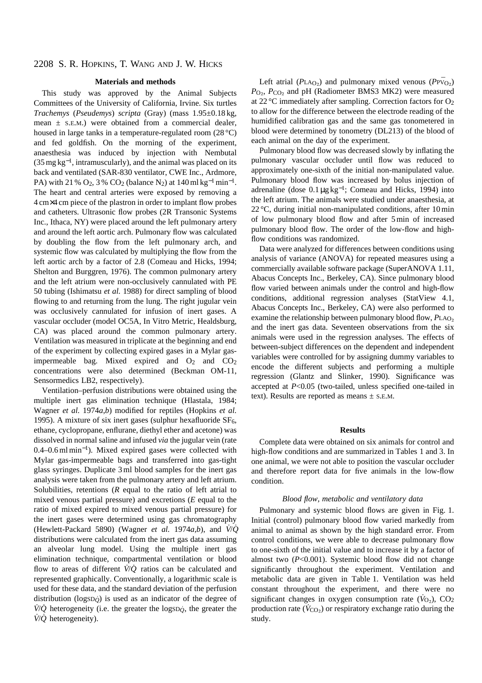### **Materials and methods**

This study was approved by the Animal Subjects Committees of the University of California, Irvine. Six turtles *Trachemys* (*Pseudemys*) *scripta* (Gray) (mass 1.95±0.18 kg, mean  $\pm$  S.E.M.) were obtained from a commercial dealer, housed in large tanks in a temperature-regulated room (28 °C) and fed goldfish. On the morning of the experiment, anaesthesia was induced by injection with Nembutal  $(35 \,\text{mg}\,\text{kg}^{-1})$ , intramuscularly), and the animal was placed on its back and ventilated (SAR-830 ventilator, CWE Inc., Ardmore, PA) with 21 % O<sub>2</sub>, 3 % CO<sub>2</sub> (balance N<sub>2</sub>) at  $140 \text{ ml kg}^{-1} \text{ min}^{-1}$ . The heart and central arteries were exposed by removing a 4 cm×4 cm piece of the plastron in order to implant flow probes and catheters. Ultrasonic flow probes (2R Transonic Systems Inc., Ithaca, NY) were placed around the left pulmonary artery and around the left aortic arch. Pulmonary flow was calculated by doubling the flow from the left pulmonary arch, and systemic flow was calculated by multiplying the flow from the left aortic arch by a factor of 2.8 (Comeau and Hicks, 1994; Shelton and Burggren, 1976). The common pulmonary artery and the left atrium were non-occlusively cannulated with PE 50 tubing (Ishimatsu *et al.* 1988) for direct sampling of blood flowing to and returning from the lung. The right jugular vein was occlusively cannulated for infusion of inert gases. A vascular occluder (model OC5A, In Vitro Metric, Healdsburg, CA) was placed around the common pulmonary artery. Ventilation was measured in triplicate at the beginning and end of the experiment by collecting expired gases in a Mylar gasimpermeable bag. Mixed expired and  $O_2$  and  $CO_2$ concentrations were also determined (Beckman OM-11, Sensormedics LB2, respectively).

Ventilation–perfusion distributions were obtained using the multiple inert gas elimination technique (Hlastala, 1984; Wagner *et al.* 1974*a*,*b*) modified for reptiles (Hopkins *et al.* 1995). A mixture of six inert gases (sulphur hexafluoride  $SF<sub>6</sub>$ , ethane, cyclopropane, enflurane, diethyl ether and acetone) was dissolved in normal saline and infused *via* the jugular vein (rate 0.4–0.6 ml min<sup>−</sup>1). Mixed expired gases were collected with Mylar gas-impermeable bags and transferred into gas-tight glass syringes. Duplicate 3 ml blood samples for the inert gas analysis were taken from the pulmonary artery and left atrium. Solubilities, retentions (*R* equal to the ratio of left atrial to mixed venous partial pressure) and excretions (*E* equal to the ratio of mixed expired to mixed venous partial pressure) for the inert gases were determined using gas chromatography (Hewlett-Packard 5890) (Wagner *et al.* 1974 $a$ , $b$ ), and  $\dot{V}/\dot{Q}$ distributions were calculated from the inert gas data assuming an alveolar lung model. Using the multiple inert gas elimination technique, compartmental ventilation or blood flow to areas of different  $\dot{V}/\dot{O}$  ratios can be calculated and represented graphically. Conventionally, a logarithmic scale is used for these data, and the standard deviation of the perfusion distribution ( $logSD<sub>O</sub>$ ) is used as an indicator of the degree of  $\dot{V}/\dot{Q}$  heterogeneity (i.e. the greater the logsD<sub> $\dot{Q}$ </sub>, the greater the *V˙*/*Q˙* heterogeneity).

Left atrial ( $PLA<sub>O<sub>2</sub></sub>$ ) and pulmonary mixed venous ( $PP\bar{V}_{O<sub>2</sub>}$ ) *P*<sub>O<sub>2</sub>, *P*<sub>CO<sub>2</sub></sub> and pH (Radiometer BMS3 MK2) were measured</sub> at 22 °C immediately after sampling. Correction factors for O2 to allow for the difference between the electrode reading of the humidified calibration gas and the same gas tonometered in blood were determined by tonometry (DL213) of the blood of each animal on the day of the experiment.

Pulmonary blood flow was decreased slowly by inflating the pulmonary vascular occluder until flow was reduced to approximately one-sixth of the initial non-manipulated value. Pulmonary blood flow was increased by bolus injection of adrenaline (dose  $0.1 \mu g kg^{-1}$ ; Comeau and Hicks, 1994) into the left atrium. The animals were studied under anaesthesia, at 22 °C, during initial non-manipulated conditions, after 10 min of low pulmonary blood flow and after 5 min of increased pulmonary blood flow. The order of the low-flow and highflow conditions was randomized.

Data were analyzed for differences between conditions using analysis of variance (ANOVA) for repeated measures using a commercially available software package (SuperANOVA 1.11, Abacus Concepts Inc., Berkeley, CA). Since pulmonary blood flow varied between animals under the control and high-flow conditions, additional regression analyses (StatView 4.1, Abacus Concepts Inc., Berkeley, CA) were also performed to examine the relationship between pulmonary blood flow, *P*LA<sub>O</sub><sub>2</sub> and the inert gas data. Seventeen observations from the six animals were used in the regression analyses. The effects of between-subject differences on the dependent and independent variables were controlled for by assigning dummy variables to encode the different subjects and performing a multiple regression (Glantz and Slinker, 1990). Significance was accepted at *P*<0.05 (two-tailed, unless specified one-tailed in text). Results are reported as means  $\pm$  S.E.M.

### **Results**

Complete data were obtained on six animals for control and high-flow conditions and are summarized in Tables 1 and 3. In one animal, we were not able to position the vascular occluder and therefore report data for five animals in the low-flow condition.

# *Blood flow, metabolic and ventilatory data*

Pulmonary and systemic blood flows are given in Fig. 1. Initial (control) pulmonary blood flow varied markedly from animal to animal as shown by the high standard error. From control conditions, we were able to decrease pulmonary flow to one-sixth of the initial value and to increase it by a factor of almost two  $(P<0.001)$ . Systemic blood flow did not change significantly throughout the experiment. Ventilation and metabolic data are given in Table 1. Ventilation was held constant throughout the experiment, and there were no significant changes in oxygen consumption rate  $(\dot{V}_{Q_2})$ , CO<sub>2</sub> production rate ( $\dot{V}_{\text{CO}_2}$ ) or respiratory exchange ratio during the study.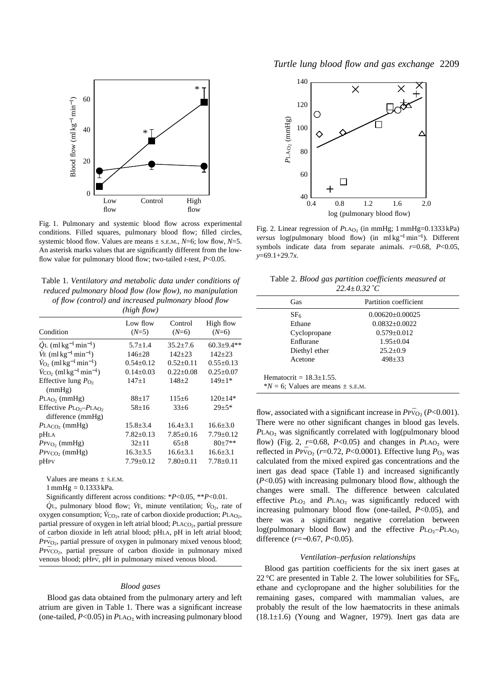

Fig. 1. Pulmonary and systemic blood flow across experimental conditions. Filled squares, pulmonary blood flow; filled circles, systemic blood flow. Values are means  $\pm$  s.e.m., *N*=6; low flow, *N*=5. An asterisk marks values that are significantly different from the lowflow value for pulmonary blood flow; two-tailed *t*-test, *P*<0.05.

Table 1. *Ventilatory and metabolic data under conditions of reduced pulmonary blood flow (low flow), no manipulation of flow (control) and increased pulmonary blood flow (high flow)*

| Condition                                                       | Low flow<br>$(N=5)$ | Control<br>$(N=6)$ | High flow<br>$(N=6)$ |  |  |
|-----------------------------------------------------------------|---------------------|--------------------|----------------------|--|--|
| $\dot{O}$ L (ml kg <sup>-1</sup> min <sup>-1</sup> )            | $5.7 \pm 1.4$       | $35.2 + 7.6$       | $60.3 \pm 9.4**$     |  |  |
| $\dot{V}E$ (ml kg <sup>-1</sup> min <sup>-1</sup> )             | $146 \pm 28$        | $142 + 23$         | $142 + 23$           |  |  |
| $\dot{V}_{\text{O}_2}$ (ml kg <sup>-1</sup> min <sup>-1</sup> ) | $0.54 + 0.12$       | $0.52 + 0.11$      | $0.55 \pm 0.13$      |  |  |
| $\dot{V}_{\rm CO_2}$ (ml kg <sup>-1</sup> min <sup>-1</sup> )   | $0.14 \pm 0.03$     | $0.22 \pm 0.08$    | $0.25 \pm 0.07$      |  |  |
| Effective lung $P_{\Omega}$ ,<br>(mmHg)                         | $147 + 1$           | $148+2$            | $149 \pm 1*$         |  |  |
| $P_{LAO_2}$ (mmHg)                                              | $88+17$             | $115 \pm 6$        | $120 \pm 14*$        |  |  |
| Effective $P_{LQ_2} - P_{LAO_2}$<br>difference (mmHg)           | $58+16$             | $33+6$             | $29 + 5*$            |  |  |
| $P_{\text{LACO}}$ (mmHg)                                        | $15.8 \pm 3.4$      | $16.4 + 3.1$       | $16.6 \pm 3.0$       |  |  |
| pHLA                                                            | $7.82 \pm 0.13$     | $7.85 \pm 0.16$    | $7.79 \pm 0.12$      |  |  |
| $P$ PVO <sub>2</sub> (mmHg)                                     | $32+11$             | $65+8$             | $80+7**$             |  |  |
| $P$ PV $_{CO}$ (mmHg)                                           | $16.3 \pm 3.5$      | $16.6 \pm 3.1$     | $16.6 \pm 3.1$       |  |  |
| pHPV                                                            | $7.79 \pm 0.12$     | $7.80 \pm 0.11$    | $7.78 \pm 0.11$      |  |  |

Values are means  $\pm$  s.E.M.

 $1 \text{ mmHg} = 0.1333 \text{ kPa}.$ 

Significantly different across conditions: \**P*<0.05, \*\**P*<0.01.

 $\dot{Q}$ <sup>L</sup>, pulmonary blood flow;  $\dot{V}$ <sub>E</sub>, minute ventilation;  $\dot{V}_{Q_2}$ , rate of oxygen consumption;  $\dot{V}_{CO_2}$ , rate of carbon dioxide production;  $P_{LAO_2}$ , partial pressure of oxygen in left atrial blood; *PLACO*<sub>2</sub>, partial pressure of carbon dioxide in left atrial blood; pHLA, pH in left atrial blood; PPV<sub>O2</sub>, partial pressure of oxygen in pulmonary mixed venous blood;  $P_{\text{PVCO}_2}$ , partial pressure of carbon dioxide in pulmonary mixed venous blood; pHPV, pH in pulmonary mixed venous blood.

#### *Blood gases*

Blood gas data obtained from the pulmonary artery and left atrium are given in Table 1. There was a significant increase (one-tailed,  $P \le 0.05$ ) in  $P_{LAO}$ , with increasing pulmonary blood



Fig. 2. Linear regression of  $P<sub>LAO<sub>2</sub></sub>$  (in mmHg; 1 mmHg=0.1333 kPa) *versus* log(pulmonary blood flow) (in ml kg<sup>-1</sup>min<sup>-1</sup>). Different symbols indicate data from separate animals. *r*=0.68, *P*<0.05, *y*=69.1+29.7*x*.

Table 2. *Blood gas partition coefficients measured at 22.4±0.32 ˚C*

| Gas                                                                     | Partition coefficient |  |  |  |
|-------------------------------------------------------------------------|-----------------------|--|--|--|
| SF <sub>6</sub>                                                         | $0.00620 + 0.00025$   |  |  |  |
| Ethane                                                                  | $0.0832 + 0.0022$     |  |  |  |
| Cyclopropane                                                            | $0.579 \pm 0.012$     |  |  |  |
| Enflurane                                                               | $1.95 \pm 0.04$       |  |  |  |
| Diethyl ether                                                           | $25.2+0.9$            |  |  |  |
| Acetone                                                                 | $498 + 33$            |  |  |  |
| Hematocrit = $18.3 + 1.55$ .<br>$N = 6$ ; Values are means $\pm$ s.E.M. |                       |  |  |  |

flow, associated with a significant increase in  $P_{\rm PQ}$  ( $P < 0.001$ ). There were no other significant changes in blood gas levels. *PLAO*<sub>2</sub> was significantly correlated with log(pulmonary blood flow) (Fig. 2,  $r=0.68$ ,  $P<0.05$ ) and changes in  $P<sub>LAO</sub>$ , were reflected in  $P_{\text{PVO}_2}$  (*r*=0.72, *P*<0.0001). Effective lung *P*<sub>O</sub><sub>2</sub> was calculated from the mixed expired gas concentrations and the inert gas dead space (Table 1) and increased significantly (*P*<0.05) with increasing pulmonary blood flow, although the changes were small. The difference between calculated effective *PL*O<sub>2</sub> and *PLA*O<sub>2</sub> was significantly reduced with increasing pulmonary blood flow (one-tailed, *P*<0.05), and there was a significant negative correlation between log(pulmonary blood flow) and the effective  $P_{L_0}$ – $P_{L_A}$ <sub>O</sub> difference (*r*=−0.67, *P*<0.05).

### *Ventilation–perfusion relationships*

Blood gas partition coefficients for the six inert gases at 22 °C are presented in Table 2. The lower solubilities for  $SF<sub>6</sub>$ , ethane and cyclopropane and the higher solubilities for the remaining gases, compared with mammalian values, are probably the result of the low haematocrits in these animals  $(18.1\pm1.6)$  (Young and Wagner, 1979). Inert gas data are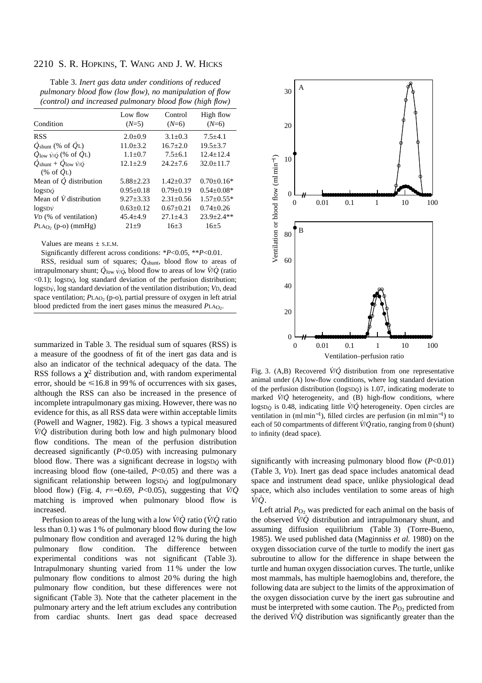Table 3. *Inert gas data under conditions of reduced pulmonary blood flow (low flow), no manipulation of flow (control) and increased pulmonary blood flow (high flow)*

| Condition                                                                               | Low flow<br>$(N=5)$ | Control<br>$(N=6)$ | High flow<br>$(N=6)$ |
|-----------------------------------------------------------------------------------------|---------------------|--------------------|----------------------|
| <b>RSS</b>                                                                              | $2.0 \pm 0.9$       | $3.1 + 0.3$        | $7.5 + 4.1$          |
| $Q_{\text{shunt}}$ (% of $Q_{\text{L}}$ )                                               | $11.0 + 3.2$        | $16.7 + 2.0$       | $19.5 + 3.7$         |
| $\dot{Q}_{\text{low }V/O}$ (% of $\dot{Q}_{\text{L}}$ )                                 | $1.1 + 0.7$         | $7.5 + 6.1$        | $12.4 + 12.4$        |
| $Q_{\text{shunt}} + \dot{Q}_{\text{low}} \dot{V} / \dot{Q}$<br>$(\% \text{ of } O_{L})$ | $12.1 + 2.9$        | $24.2 + 7.6$       | $32.0 + 11.7$        |
| Mean of $\dot{Q}$ distribution                                                          | $5.88 \pm 2.23$     | $1.42 + 0.37$      | $0.70 \pm 0.16*$     |
| $logSD$ o                                                                               | $0.95+0.18$         | $0.79 + 0.19$      | $0.54 + 0.08*$       |
| Mean of $\dot{V}$ distribution                                                          | $9.27 + 3.33$       | $2.31 + 0.56$      | $1.57+0.55*$         |
| logSDV                                                                                  | $0.63 \pm 0.12$     | $0.67 + 0.21$      | $0.74 + 0.26$        |
| V <sub>D</sub> (% of ventilation)                                                       | $45.4 + 4.9$        | $27.1 + 4.3$       | $23.9 + 2.4$ **      |
| $PLAO2$ (p-o) (mmHg)                                                                    | $21+9$              | $16+3$             | $16 + 5$             |

Values are means  $\pm$  S.E.M.

Significantly different across conditions: \**P*<0.05, \*\**P*<0.01.

RSS, residual sum of squares;  $\dot{Q}_{\text{shunt}}$ , blood flow to areas of intrapulmonary shunt; *Q* low *V*˙/*Q*˙, blood flow to areas of low *V˙*/*Q*˙ (ratio <0.1); logSD*Q*˙, log standard deviation of the perfusion distribution; logSD*V*˙, log standard deviation of the ventilation distribution; *V*D, dead space ventilation;  $P_{LAO_2}$  (p-o), partial pressure of oxygen in left atrial blood predicted from the inert gases minus the measured  $PLAO<sub>2</sub>$ .

summarized in Table 3. The residual sum of squares (RSS) is a measure of the goodness of fit of the inert gas data and is also an indicator of the technical adequacy of the data. The RSS follows a  $\chi^2$  distribution and, with random experimental error, should be  $\leq 16.8$  in 99% of occurrences with six gases, although the RSS can also be increased in the presence of incomplete intrapulmonary gas mixing. However, there was no evidence for this, as all RSS data were within acceptable limits (Powell and Wagner, 1982). Fig. 3 shows a typical measured  $\dot{V}/\dot{Q}$  distribution during both low and high pulmonary blood flow conditions. The mean of the perfusion distribution decreased significantly (*P*<0.05) with increasing pulmonary blood flow. There was a significant decrease in logsD<sub>O</sub><sup> $\theta$ </sup> with increasing blood flow (one-tailed, *P*<0.05) and there was a significant relationship between logsD<sub>Q</sub><sup> $\alpha$ </sup> and log(pulmonary blood flow) (Fig. 4, *r*=−0.69, *P*<0.05), suggesting that *V˙*/*Q˙* matching is improved when pulmonary blood flow is increased.

Perfusion to areas of the lung with a low *V˙*/*Q˙* ratio (*V˙*/*Q˙* ratio less than 0.1) was 1 % of pulmonary blood flow during the low pulmonary flow condition and averaged 12 % during the high pulmonary flow condition. The difference between experimental conditions was not significant (Table 3). Intrapulmonary shunting varied from 11 % under the low pulmonary flow conditions to almost 20 % during the high pulmonary flow condition, but these differences were not significant (Table 3). Note that the catheter placement in the pulmonary artery and the left atrium excludes any contribution from cardiac shunts. Inert gas dead space decreased



Fig. 3. (A,B) Recovered *V˙*/*Q* . distribution from one representative animal under (A) low-flow conditions, where log standard deviation of the perfusion distribution ( $logSD\phi$ ) is 1.07, indicating moderate to or the perfusion distribution  $(\log_{5}D_{Q})$  is 1.07, indicating moderate to marked  $\dot{V}/\dot{Q}$  heterogeneity, and (B) high-flow conditions, where logsD<sub>Q</sub><sup> $\dot{\theta}$ </sup> is 0.48, indicating little *V*<sup>/</sup>*Q*</sub> heterogeneity. Open circles are ventilation in (ml min<sup>-1</sup>), filled circles are perfusion (in ml min<sup>-1</sup>) to each of 50 compartments of different *V˙*/*Q* ratio, ranging from 0 (shunt) to infinity (dead space).

significantly with increasing pulmonary blood flow (*P*<0.01) (Table 3, *V*D). Inert gas dead space includes anatomical dead space and instrument dead space, unlike physiological dead space, which also includes ventilation to some areas of high *V˙*/*Q˙* .

Left atrial  $P<sub>O</sub>$  was predicted for each animal on the basis of the observed *V˙*/*Q˙* distribution and intrapulmonary shunt, and assuming diffusion equilibrium (Table 3) (Torre-Bueno, 1985). We used published data (Maginniss *et al.* 1980) on the oxygen dissociation curve of the turtle to modify the inert gas subroutine to allow for the difference in shape between the turtle and human oxygen dissociation curves. The turtle, unlike most mammals, has multiple haemoglobins and, therefore, the following data are subject to the limits of the approximation of the oxygen dissociation curve by the inert gas subroutine and must be interpreted with some caution. The *P*<sub>O</sub>∠ predicted from the derived *V˙*/*Q˙* distribution was significantly greater than the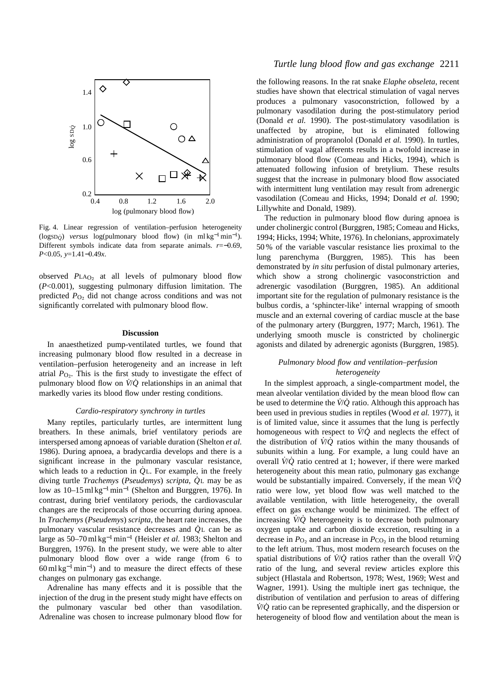

Fig. 4. Linear regression of ventilation–perfusion heterogeneity (logSD*Q*˙ ) *versus* log(pulmonary blood flow) (in ml kg<sup>−</sup>1min−1). Different symbols indicate data from separate animals. *r*=−0.69, *P*<0.05, *y*=1.41−0.49*x*.

observed PLA<sub>O2</sub> at all levels of pulmonary blood flow (*P*<0.001), suggesting pulmonary diffusion limitation. The predicted  $P_{\text{O}_2}$  did not change across conditions and was not significantly correlated with pulmonary blood flow.

### **Discussion**

In anaesthetized pump-ventilated turtles, we found that increasing pulmonary blood flow resulted in a decrease in ventilation–perfusion heterogeneity and an increase in left atrial  $P_{\text{O}_2}$ . This is the first study to investigate the effect of pulmonary blood flow on *V˙*/*Q˙* relationships in an animal that markedly varies its blood flow under resting conditions.

### *Cardio-respiratory synchrony in turtles*

Many reptiles, particularly turtles, are intermittent lung breathers. In these animals, brief ventilatory periods are interspersed among apnoeas of variable duration (Shelton *et al.* 1986). During apnoea, a bradycardia develops and there is a significant increase in the pulmonary vascular resistance, which leads to a reduction in *Q*<sup>L</sup>. For example, in the freely diving turtle *Trachemys* (*Pseudemys*) *scripta*, *Q˙* <sup>L</sup> may be as low as 10–15 ml kg<sup>-1</sup>min<sup>-1</sup> (Shelton and Burggren, 1976). In contrast, during brief ventilatory periods, the cardiovascular changes are the reciprocals of those occurring during apnoea. In *Trachemys* (*Pseudemys*) *scripta*, the heart rate increases, the pulmonary vascular resistance decreases and  $\dot{Q}$ <sup>L</sup> can be as large as 50–70 ml kg<sup>−</sup>1min−<sup>1</sup> (Heisler *et al.* 1983; Shelton and Burggren, 1976). In the present study, we were able to alter pulmonary blood flow over a wide range (from 6 to  $60 \text{ ml kg}^{-1} \text{ min}^{-1}$  and to measure the direct effects of these changes on pulmonary gas exchange.

Adrenaline has many effects and it is possible that the injection of the drug in the present study might have effects on the pulmonary vascular bed other than vasodilation. Adrenaline was chosen to increase pulmonary blood flow for

### *Turtle lung blood flow and gas exchange* 2211

the following reasons. In the rat snake *Elaphe obseleta*, recent studies have shown that electrical stimulation of vagal nerves produces a pulmonary vasoconstriction, followed by a pulmonary vasodilation during the post-stimulatory period (Donald *et al.* 1990). The post-stimulatory vasodilation is unaffected by atropine, but is eliminated following administration of propranolol (Donald *et al.* 1990). In turtles, stimulation of vagal afferents results in a twofold increase in pulmonary blood flow (Comeau and Hicks, 1994), which is attenuated following infusion of bretylium. These results suggest that the increase in pulmonary blood flow associated with intermittent lung ventilation may result from adrenergic vasodilation (Comeau and Hicks, 1994; Donald *et al.* 1990; Lillywhite and Donald, 1989).

The reduction in pulmonary blood flow during apnoea is under cholinergic control (Burggren, 1985; Comeau and Hicks, 1994; Hicks, 1994; White, 1976). In chelonians, approximately 50 % of the variable vascular resistance lies proximal to the lung parenchyma (Burggren, 1985). This has been demonstrated by *in situ* perfusion of distal pulmonary arteries, which show a strong cholinergic vasoconstriction and adrenergic vasodilation (Burggren, 1985). An additional important site for the regulation of pulmonary resistance is the bulbus cordis, a 'sphincter-like' internal wrapping of smooth muscle and an external covering of cardiac muscle at the base of the pulmonary artery (Burggren, 1977; March, 1961). The underlying smooth muscle is constricted by cholinergic agonists and dilated by adrenergic agonists (Burggren, 1985).

### *Pulmonary blood flow and ventilation–perfusion heterogeneity*

In the simplest approach, a single-compartment model, the mean alveolar ventilation divided by the mean blood flow can be used to determine the *V˙*/*Q˙* ratio. Although this approach has been used in previous studies in reptiles (Wood *et al.* 1977), it is of limited value, since it assumes that the lung is perfectly homogeneous with respect to  $\dot{V}/\dot{O}$  and neglects the effect of the distribution of  $\dot{V}/\dot{Q}$  ratios within the many thousands of subunits within a lung. For example, a lung could have an overall *V˙*/*Q˙* ratio centred at 1; however, if there were marked heterogeneity about this mean ratio, pulmonary gas exchange would be substantially impaired. Conversely, if the mean *V˙*/*Q˙* ratio were low, yet blood flow was well matched to the available ventilation, with little heterogeneity, the overall effect on gas exchange would be minimized. The effect of increasing *V˙*/*Q˙* heterogeneity is to decrease both pulmonary oxygen uptake and carbon dioxide excretion, resulting in a decrease in  $P_{\text{O}_2}$  and an increase in  $P_{\text{CO}_2}$  in the blood returning to the left atrium. Thus, most modern research focuses on the spatial distributions of  $\dot{V}/\dot{Q}$  ratios rather than the overall  $\dot{V}/\dot{Q}$ ratio of the lung, and several review articles explore this subject (Hlastala and Robertson, 1978; West, 1969; West and Wagner, 1991). Using the multiple inert gas technique, the distribution of ventilation and perfusion to areas of differing *V˙*/*Q˙* ratio can be represented graphically, and the dispersion or heterogeneity of blood flow and ventilation about the mean is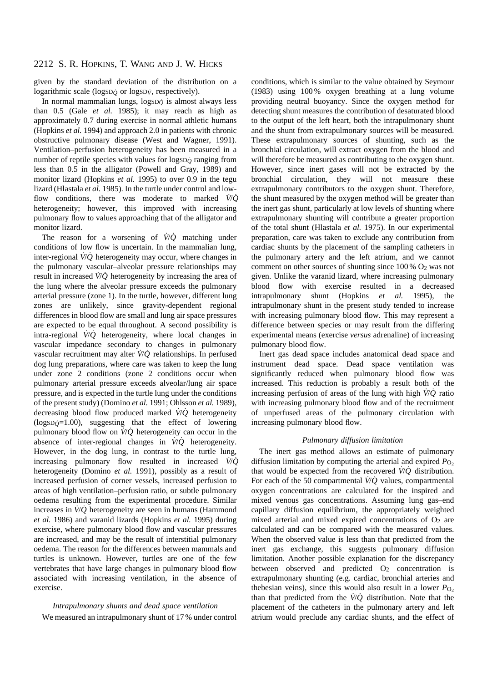given by the standard deviation of the distribution on a logarithmic scale (logsD<sub>Q</sub><sup> $\alpha$ </sup> logsD<sub>V</sub><sup> $\gamma$ </sup>, respectively).

In normal mammalian lungs, logSD*Q*˙ is almost always less than 0.5 (Gale *et al.* 1985); it may reach as high as approximately 0.7 during exercise in normal athletic humans (Hopkins *et al.* 1994) and approach 2.0 in patients with chronic obstructive pulmonary disease (West and Wagner, 1991). Ventilation–perfusion heterogeneity has been measured in a number of reptile species with values for  $\log_{10}$  ranging from less than 0.5 in the alligator (Powell and Gray, 1989) and monitor lizard (Hopkins *et al.* 1995) to over 0.9 in the tegu lizard (Hlastala *et al.* 1985). In the turtle under control and lowflow conditions, there was moderate to marked  $\dot{V}/\dot{O}$ heterogeneity; however, this improved with increasing pulmonary flow to values approaching that of the alligator and monitor lizard.

The reason for a worsening of  $\dot{V}/\dot{Q}$  matching under conditions of low flow is uncertain. In the mammalian lung, inter-regional *V˙*/*Q˙* heterogeneity may occur, where changes in the pulmonary vascular–alveolar pressure relationships may result in increased *V˙*/*Q˙* heterogeneity by increasing the area of the lung where the alveolar pressure exceeds the pulmonary arterial pressure (zone 1). In the turtle, however, different lung zones are unlikely, since gravity-dependent regional differences in blood flow are small and lung air space pressures are expected to be equal throughout. A second possibility is intra-regional *V˙*/*Q˙* heterogeneity, where local changes in vascular impedance secondary to changes in pulmonary vascular recruitment may alter *V˙*/*Q˙* relationships. In perfused dog lung preparations, where care was taken to keep the lung under zone 2 conditions (zone 2 conditions occur when pulmonary arterial pressure exceeds alveolar/lung air space pressure, and is expected in the turtle lung under the conditions of the present study) (Domino *et al.* 1991; Ohlsson *et al.* 1989), decreasing blood flow produced marked *V˙*/*Q˙* heterogeneity  $(logSD\phi=1.00)$ , suggesting that the effect of lowering pulmonary blood flow on *V˙*/*Q˙* heterogeneity can occur in the absence of inter-regional changes in *V˙*/*Q˙* heterogeneity. However, in the dog lung, in contrast to the turtle lung, increasing pulmonary flow resulted in increased *V˙*/*Q˙* heterogeneity (Domino *et al.* 1991), possibly as a result of increased perfusion of corner vessels, increased perfusion to areas of high ventilation–perfusion ratio, or subtle pulmonary oedema resulting from the experimental procedure. Similar increases in *V˙*/*Q˙* heterogeneity are seen in humans (Hammond *et al.* 1986) and varanid lizards (Hopkins *et al.* 1995) during exercise, where pulmonary blood flow and vascular pressures are increased, and may be the result of interstitial pulmonary oedema. The reason for the differences between mammals and turtles is unknown. However, turtles are one of the few vertebrates that have large changes in pulmonary blood flow associated with increasing ventilation, in the absence of exercise.

*Intrapulmonary shunts and dead space ventilation* We measured an intrapulmonary shunt of 17 % under control conditions, which is similar to the value obtained by Seymour (1983) using 100 % oxygen breathing at a lung volume providing neutral buoyancy. Since the oxygen method for detecting shunt measures the contribution of desaturated blood to the output of the left heart, both the intrapulmonary shunt and the shunt from extrapulmonary sources will be measured. These extrapulmonary sources of shunting, such as the bronchial circulation, will extract oxygen from the blood and will therefore be measured as contributing to the oxygen shunt. However, since inert gases will not be extracted by the bronchial circulation, they will not measure these extrapulmonary contributors to the oxygen shunt. Therefore, the shunt measured by the oxygen method will be greater than the inert gas shunt, particularly at low levels of shunting where extrapulmonary shunting will contribute a greater proportion of the total shunt (Hlastala *et al.* 1975). In our experimental preparation, care was taken to exclude any contribution from cardiac shunts by the placement of the sampling catheters in the pulmonary artery and the left atrium, and we cannot comment on other sources of shunting since 100 % O2 was not given. Unlike the varanid lizard, where increasing pulmonary blood flow with exercise resulted in a decreased intrapulmonary shunt (Hopkins *et al.* 1995), the intrapulmonary shunt in the present study tended to increase with increasing pulmonary blood flow. This may represent a difference between species or may result from the differing experimental means (exercise *versus* adrenaline) of increasing pulmonary blood flow.

Inert gas dead space includes anatomical dead space and instrument dead space. Dead space ventilation was significantly reduced when pulmonary blood flow was increased. This reduction is probably a result both of the increasing perfusion of areas of the lung with high *V˙*/*Q˙* ratio with increasing pulmonary blood flow and of the recruitment of unperfused areas of the pulmonary circulation with increasing pulmonary blood flow.

### *Pulmonary diffusion limitation*

The inert gas method allows an estimate of pulmonary diffusion limitation by computing the arterial and expired  $P_{\text{O}_2}$ that would be expected from the recovered  $\dot{V}/\dot{Q}$  distribution. For each of the 50 compartmental  $\dot{V}/\dot{Q}$  values, compartmental oxygen concentrations are calculated for the inspired and mixed venous gas concentrations. Assuming lung gas–end capillary diffusion equilibrium, the appropriately weighted mixed arterial and mixed expired concentrations of  $O<sub>2</sub>$  are calculated and can be compared with the measured values. When the observed value is less than that predicted from the inert gas exchange, this suggests pulmonary diffusion limitation. Another possible explanation for the discrepancy between observed and predicted  $O_2$  concentration is extrapulmonary shunting (e.g. cardiac, bronchial arteries and thebesian veins), since this would also result in a lower  $P_{\text{O}_2}$ than that predicted from the  $\dot{V}/\dot{Q}$  distribution. Note that the placement of the catheters in the pulmonary artery and left atrium would preclude any cardiac shunts, and the effect of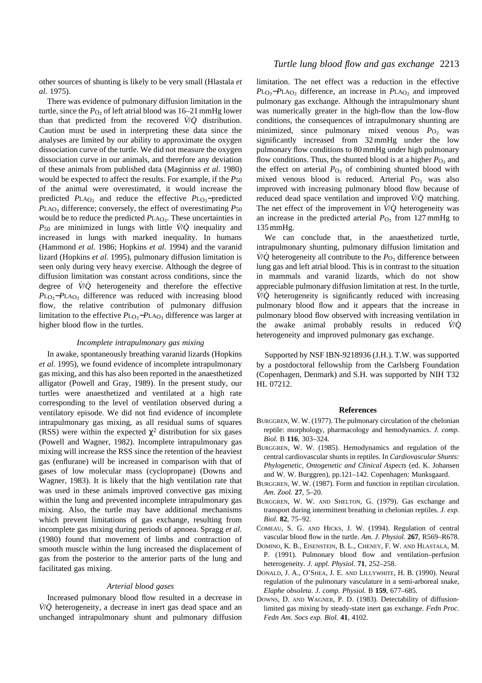other sources of shunting is likely to be very small (Hlastala *et al.* 1975).

There was evidence of pulmonary diffusion limitation in the turtle, since the  $P_{\text{O}_2}$  of left atrial blood was 16–21 mmHg lower than that predicted from the recovered *V˙*/*Q˙* distribution. Caution must be used in interpreting these data since the analyses are limited by our ability to approximate the oxygen dissociation curve of the turtle. We did not measure the oxygen dissociation curve in our animals, and therefore any deviation of these animals from published data (Maginniss *et al.* 1980) would be expected to affect the results. For example, if the *P*50 of the animal were overestimated, it would increase the predicted *P*LAO<sub>2</sub> and reduce the effective *P*LO<sub>2</sub>−predicted  $P<sub>LAO<sub>2</sub></sub>$  difference; conversely, the effect of overestimating  $P<sub>50</sub>$ would be to reduce the predicted *P*LAO<sub>2</sub>. These uncertainties in *P*<sup>50</sup> are minimized in lungs with little *V˙*/*Q˙* inequality and increased in lungs with marked inequality. In humans (Hammond *et al.* 1986; Hopkins *et al.* 1994) and the varanid lizard (Hopkins *et al.* 1995), pulmonary diffusion limitation is seen only during very heavy exercise. Although the degree of diffusion limitation was constant across conditions, since the degree of *V˙*/*Q˙* heterogeneity and therefore the effective *P*LO<sub>2</sub>−*P*LAO<sub>2</sub> difference was reduced with increasing blood flow, the relative contribution of pulmonary diffusion limitation to the effective *P*LO∑−*P*LAO∑ difference was larger at higher blood flow in the turtles.

#### *Incomplete intrapulmonary gas mixing*

In awake, spontaneously breathing varanid lizards (Hopkins *et al.* 1995), we found evidence of incomplete intrapulmonary gas mixing, and this has also been reported in the anaesthetized alligator (Powell and Gray, 1989). In the present study, our turtles were anaesthetized and ventilated at a high rate corresponding to the level of ventilation observed during a ventilatory episode. We did not find evidence of incomplete intrapulmonary gas mixing, as all residual sums of squares (RSS) were within the expected  $\chi^2$  distribution for six gases (Powell and Wagner, 1982). Incomplete intrapulmonary gas mixing will increase the RSS since the retention of the heaviest gas (enflurane) will be increased in comparison with that of gases of low molecular mass (cyclopropane) (Downs and Wagner, 1983). It is likely that the high ventilation rate that was used in these animals improved convective gas mixing within the lung and prevented incomplete intrapulmonary gas mixing. Also, the turtle may have additional mechanisms which prevent limitations of gas exchange, resulting from incomplete gas mixing during periods of apnoea. Spragg *et al.* (1980) found that movement of limbs and contraction of smooth muscle within the lung increased the displacement of gas from the posterior to the anterior parts of the lung and facilitated gas mixing.

#### *Arterial blood gases*

Increased pulmonary blood flow resulted in a decrease in *V˙*/*Q˙* heterogeneity, a decrease in inert gas dead space and an unchanged intrapulmonary shunt and pulmonary diffusion

### *Turtle lung blood flow and gas exchange* 2213

limitation. The net effect was a reduction in the effective *P*L<sub>O2</sub>−*P*LA<sub>O<sub>2</sub></sub> difference, an increase in *P*LA<sub>O<sub>2</sub></sub> and improved pulmonary gas exchange. Although the intrapulmonary shunt was numerically greater in the high-flow than the low-flow conditions, the consequences of intrapulmonary shunting are minimized, since pulmonary mixed venous  $P_{\text{O}_2}$  was significantly increased from 32 mmHg under the low pulmonary flow conditions to 80 mmHg under high pulmonary flow conditions. Thus, the shunted blood is at a higher  $P_{\text{O}_2}$  and the effect on arterial *P*<sub>O2</sub> of combining shunted blood with mixed venous blood is reduced. Arterial *P*<sub>O</sub> was also improved with increasing pulmonary blood flow because of reduced dead space ventilation and improved  $\dot{V}/\dot{Q}$  matching. The net effect of the improvement in  $\dot{V}/\dot{Q}$  heterogeneity was an increase in the predicted arterial  $P_{\text{O}_2}$  from 127 mmHg to 135 mmHg.

We can conclude that, in the anaesthetized turtle, intrapulmonary shunting, pulmonary diffusion limitation and *V*<sup>*i*</sup> $Q$ <sup>*i*</sup> heterogeneity all contribute to the  $P_{Q_2}$  difference between lung gas and left atrial blood. This is in contrast to the situation in mammals and varanid lizards, which do not show appreciable pulmonary diffusion limitation at rest. In the turtle, *V˙*/*Q˙* heterogeneity is significantly reduced with increasing pulmonary blood flow and it appears that the increase in pulmonary blood flow observed with increasing ventilation in the awake animal probably results in reduced *V˙*/*Q˙* heterogeneity and improved pulmonary gas exchange.

Supported by NSF IBN-9218936 (J.H.). T.W. was supported by a postdoctoral fellowship from the Carlsberg Foundation (Copenhagen, Denmark) and S.H. was supported by NIH T32 HL 07212.

#### **References**

- BURGGREN, W. W. (1977). The pulmonary circulation of the chelonian reptile: morphology, pharmacology and hemodynamics. *J. comp. Biol.* B **116**, 303–324.
- BURGGREN, W. W. (1985). Hemodynamics and regulation of the central cardiovascular shunts in reptiles. In *Cardiovascular Shunts: Phylogenetic, Ontogenetic and Clinical Aspects* (ed. K. Johansen and W. W. Burggren), pp.121–142. Copenhagen: Munksgaard.
- BURGGREN, W. W. (1987). Form and function in reptilian circulation. *Am. Zool.* **27**, 5–20.
- BURGGREN, W. W. AND SHELTON, G. (1979). Gas exchange and transport during intermittent breathing in chelonian reptiles. *J. exp. Biol.* **82**, 75–92.
- COMEAU, S. G. AND HICKS, J. W. (1994). Regulation of central vascular blood flow in the turtle. *Am. J. Physiol.* **267**, R569–R678.
- DOMINO, K. B., EISENSTEIN, B. L., CHENEY, F. W. AND HLASTALA, M. P. (1991). Pulmonary blood flow and ventilation–perfusion heterogeneity. *J. appl. Physiol.* **71**, 252–258.
- DONALD, J. A., O'SHEA, J. E. AND LILLYWHITE, H. B. (1990). Neural regulation of the pulmonary vasculature in a semi-arboreal snake, *Elaphe obsoleta*. *J. comp. Physiol.* B **159**, 677–685.
- DOWNS, D. AND WAGNER, P. D. (1983). Detectability of diffusionlimited gas mixing by steady-state inert gas exchange. *Fedn Proc. Fedn Am. Socs exp. Biol.* **41**, 4102.